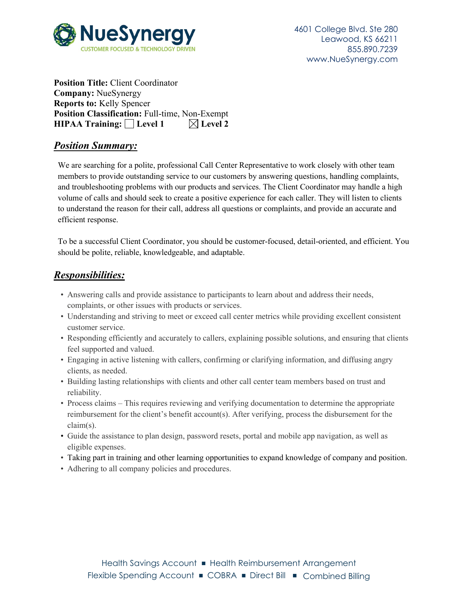

**Position Title:** Client Coordinator **Company:** NueSynergy **Reports to:** Kelly Spencer **Position Classification:** Full-time, Non-Exempt **HIPAA Training:** Level 1  $\boxtimes$  Level 2

## *Position Summary:*

We are searching for a polite, professional Call Center Representative to work closely with other team members to provide outstanding service to our customers by answering questions, handling complaints, and troubleshooting problems with our products and services. The Client Coordinator may handle a high volume of calls and should seek to create a positive experience for each caller. They will listen to clients to understand the reason for their call, address all questions or complaints, and provide an accurate and efficient response.

To be a successful Client Coordinator, you should be customer-focused, detail-oriented, and efficient. You should be polite, reliable, knowledgeable, and adaptable.

## *Responsibilities:*

- Answering calls and provide assistance to participants to learn about and address their needs, complaints, or other issues with products or services.
- Understanding and striving to meet or exceed call center metrics while providing excellent consistent customer service.
- Responding efficiently and accurately to callers, explaining possible solutions, and ensuring that clients feel supported and valued.
- Engaging in active listening with callers, confirming or clarifying information, and diffusing angry clients, as needed.
- Building lasting relationships with clients and other call center team members based on trust and reliability.
- Process claims This requires reviewing and verifying documentation to determine the appropriate reimbursement for the client's benefit account(s). After verifying, process the disbursement for the claim(s).
- Guide the assistance to plan design, password resets, portal and mobile app navigation, as well as eligible expenses.
- Taking part in training and other learning opportunities to expand knowledge of company and position.
- Adhering to all company policies and procedures.